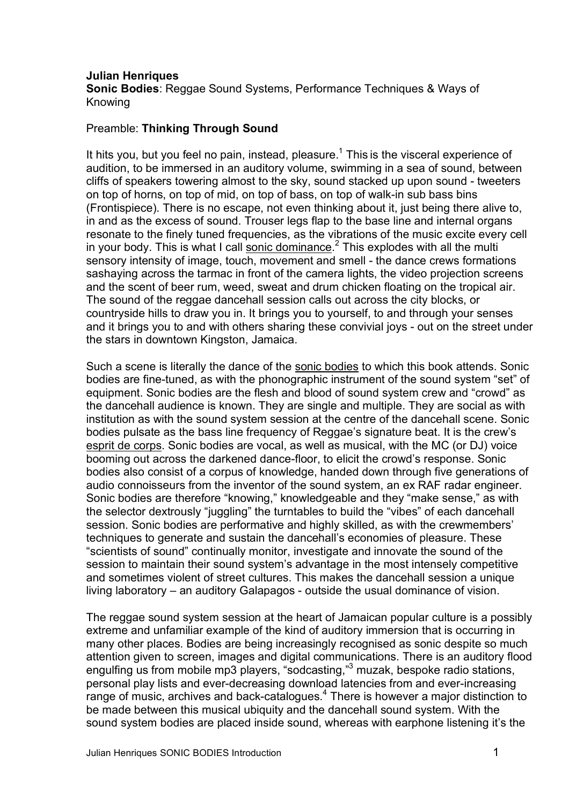### **Julian Henriques**

**Sonic Bodies**: Reggae Sound Systems, Performance Techniques & Ways of Knowing

### Preamble: **Thinking Through Sound**

It hits you, but you feel no pain, instead, pleasure.<sup>1</sup> This is the visceral experience of audition, to be immersed in an auditory volume, swimming in a sea of sound, between cliffs of speakers towering almost to the sky, sound stacked up upon sound - tweeters on top of horns, on top of mid, on top of bass, on top of walk-in sub bass bins (Frontispiece). There is no escape, not even thinking about it, just being there alive to, in and as the excess of sound. Trouser legs flap to the base line and internal organs resonate to the finely tuned frequencies, as the vibrations of the music excite every cell in your body. This is what I call sonic dominance.<sup>2</sup> This explodes with all the multi sensory intensity of image, touch, movement and smell - the dance crews formations sashaying across the tarmac in front of the camera lights, the video projection screens and the scent of beer rum, weed, sweat and drum chicken floating on the tropical air. The sound of the reggae dancehall session calls out across the city blocks, or countryside hills to draw you in. It brings you to yourself, to and through your senses and it brings you to and with others sharing these convivial joys - out on the street under the stars in downtown Kingston, Jamaica.

Such a scene is literally the dance of the sonic bodies to which this book attends. Sonic bodies are fine-tuned, as with the phonographic instrument of the sound system "set" of equipment. Sonic bodies are the flesh and blood of sound system crew and "crowd" as the dancehall audience is known. They are single and multiple. They are social as with institution as with the sound system session at the centre of the dancehall scene. Sonic bodies pulsate as the bass line frequency of Reggae's signature beat. It is the crew's esprit de corps. Sonic bodies are vocal, as well as musical, with the MC (or DJ) voice booming out across the darkened dance-floor, to elicit the crowd's response. Sonic bodies also consist of a corpus of knowledge, handed down through five generations of audio connoisseurs from the inventor of the sound system, an ex RAF radar engineer. Sonic bodies are therefore "knowing," knowledgeable and they "make sense," as with the selector dextrously "juggling" the turntables to build the "vibes" of each dancehall session. Sonic bodies are performative and highly skilled, as with the crewmembers' techniques to generate and sustain the dancehall's economies of pleasure. These "scientists of sound" continually monitor, investigate and innovate the sound of the session to maintain their sound system's advantage in the most intensely competitive and sometimes violent of street cultures. This makes the dancehall session a unique living laboratory – an auditory Galapagos - outside the usual dominance of vision.

The reggae sound system session at the heart of Jamaican popular culture is a possibly extreme and unfamiliar example of the kind of auditory immersion that is occurring in many other places. Bodies are being increasingly recognised as sonic despite so much attention given to screen, images and digital communications. There is an auditory flood engulfing us from mobile mp3 players, "sodcasting," muzak, bespoke radio stations, personal play lists and ever-decreasing download latencies from and ever-increasing range of music, archives and back-catalogues. <sup>4</sup> There is however a major distinction to be made between this musical ubiquity and the dancehall sound system. With the sound system bodies are placed inside sound, whereas with earphone listening it's the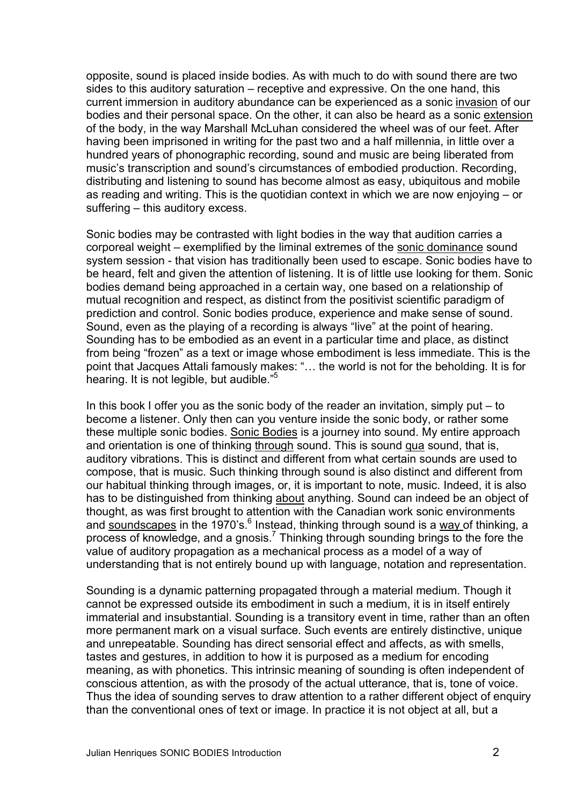opposite, sound is placed inside bodies. As with much to do with sound there are two sides to this auditory saturation – receptive and expressive. On the one hand, this current immersion in auditory abundance can be experienced as a sonic invasion of our bodies and their personal space. On the other, it can also be heard as a sonic extension of the body, in the way Marshall McLuhan considered the wheel was of our feet. After having been imprisoned in writing for the past two and a half millennia, in little over a hundred years of phonographic recording, sound and music are being liberated from music's transcription and sound's circumstances of embodied production. Recording, distributing and listening to sound has become almost as easy, ubiquitous and mobile as reading and writing. This is the quotidian context in which we are now enjoying – or suffering – this auditory excess.

Sonic bodies may be contrasted with light bodies in the way that audition carries a corporeal weight – exemplified by the liminal extremes of the sonic dominance sound system session - that vision has traditionally been used to escape. Sonic bodies have to be heard, felt and given the attention of listening. It is of little use looking for them. Sonic bodies demand being approached in a certain way, one based on a relationship of mutual recognition and respect, as distinct from the positivist scientific paradigm of prediction and control. Sonic bodies produce, experience and make sense of sound. Sound, even as the playing of a recording is always "live" at the point of hearing. Sounding has to be embodied as an event in a particular time and place, as distinct from being "frozen" as a text or image whose embodiment is less immediate. This is the point that Jacques Attali famously makes: "… the world is not for the beholding. It is for hearing. It is not legible, but audible."<sup>5</sup>

In this book I offer you as the sonic body of the reader an invitation, simply put – to become a listener. Only then can you venture inside the sonic body, or rather some these multiple sonic bodies. Sonic Bodies is a journey into sound. My entire approach and orientation is one of thinking through sound. This is sound qua sound, that is, auditory vibrations. This is distinct and different from what certain sounds are used to compose, that is music. Such thinking through sound is also distinct and different from our habitual thinking through images, or, it is important to note, music. Indeed, it is also has to be distinguished from thinking about anything. Sound can indeed be an object of thought, as was first brought to attention with the Canadian work sonic environments and soundscapes in the 1970's. $6$  Instead, thinking through sound is a way of thinking, a process of knowledge, and a gnosis.<sup>7</sup> Thinking through sounding brings to the fore the value of auditory propagation as a mechanical process as a model of a way of understanding that is not entirely bound up with language, notation and representation.

Sounding is a dynamic patterning propagated through a material medium. Though it cannot be expressed outside its embodiment in such a medium, it is in itself entirely immaterial and insubstantial. Sounding is a transitory event in time, rather than an often more permanent mark on a visual surface. Such events are entirely distinctive, unique and unrepeatable. Sounding has direct sensorial effect and affects, as with smells, tastes and gestures, in addition to how it is purposed as a medium for encoding meaning, as with phonetics. This intrinsic meaning of sounding is often independent of conscious attention, as with the prosody of the actual utterance, that is, tone of voice. Thus the idea of sounding serves to draw attention to a rather different object of enquiry than the conventional ones of text or image. In practice it is not object at all, but a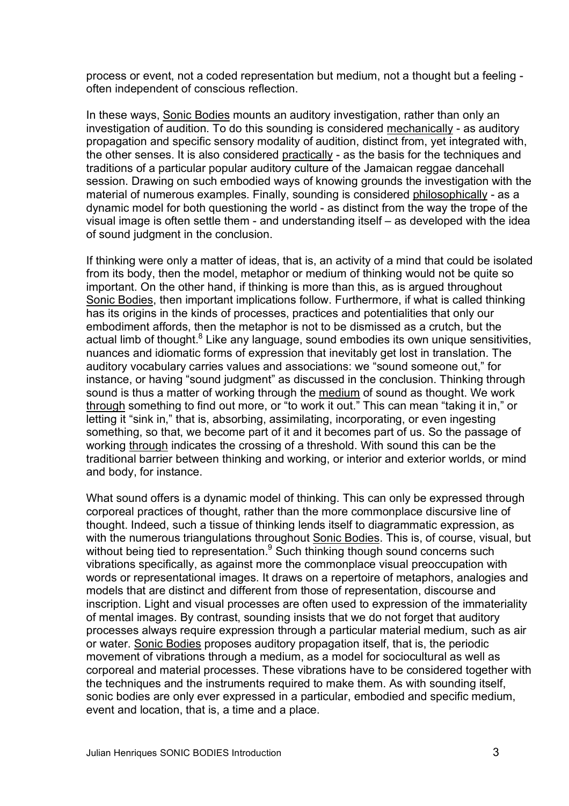process or event, not a coded representation but medium, not a thought but a feeling often independent of conscious reflection.

In these ways, Sonic Bodies mounts an auditory investigation, rather than only an investigation of audition. To do this sounding is considered mechanically - as auditory propagation and specific sensory modality of audition, distinct from, yet integrated with, the other senses. It is also considered practically - as the basis for the techniques and traditions of a particular popular auditory culture of the Jamaican reggae dancehall session. Drawing on such embodied ways of knowing grounds the investigation with the material of numerous examples. Finally, sounding is considered philosophically - as a dynamic model for both questioning the world - as distinct from the way the trope of the visual image is often settle them - and understanding itself – as developed with the idea of sound judgment in the conclusion.

If thinking were only a matter of ideas, that is, an activity of a mind that could be isolated from its body, then the model, metaphor or medium of thinking would not be quite so important. On the other hand, if thinking is more than this, as is argued throughout Sonic Bodies, then important implications follow. Furthermore, if what is called thinking has its origins in the kinds of processes, practices and potentialities that only our embodiment affords, then the metaphor is not to be dismissed as a crutch, but the actual limb of thought.<sup>8</sup> Like any language, sound embodies its own unique sensitivities, nuances and idiomatic forms of expression that inevitably get lost in translation. The auditory vocabulary carries values and associations: we "sound someone out," for instance, or having "sound judgment" as discussed in the conclusion. Thinking through sound is thus a matter of working through the medium of sound as thought. We work through something to find out more, or "to work it out." This can mean "taking it in," or letting it "sink in," that is, absorbing, assimilating, incorporating, or even ingesting something, so that, we become part of it and it becomes part of us. So the passage of working through indicates the crossing of a threshold. With sound this can be the traditional barrier between thinking and working, or interior and exterior worlds, or mind and body, for instance.

What sound offers is a dynamic model of thinking. This can only be expressed through corporeal practices of thought, rather than the more commonplace discursive line of thought. Indeed, such a tissue of thinking lends itself to diagrammatic expression, as with the numerous triangulations throughout Sonic Bodies. This is, of course, visual, but without being tied to representation.<sup>9</sup> Such thinking though sound concerns such vibrations specifically, as against more the commonplace visual preoccupation with words or representational images. It draws on a repertoire of metaphors, analogies and models that are distinct and different from those of representation, discourse and inscription. Light and visual processes are often used to expression of the immateriality of mental images. By contrast, sounding insists that we do not forget that auditory processes always require expression through a particular material medium, such as air or water. Sonic Bodies proposes auditory propagation itself, that is, the periodic movement of vibrations through a medium, as a model for sociocultural as well as corporeal and material processes. These vibrations have to be considered together with the techniques and the instruments required to make them. As with sounding itself, sonic bodies are only ever expressed in a particular, embodied and specific medium, event and location, that is, a time and a place.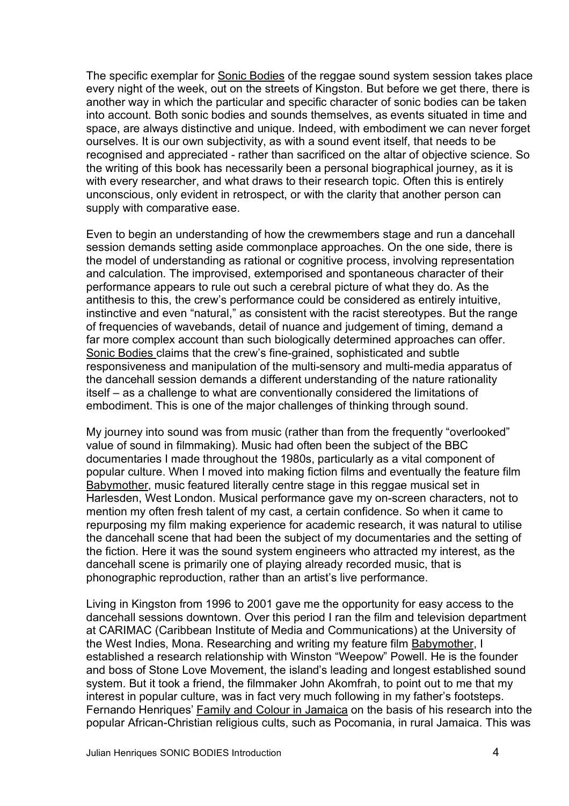The specific exemplar for Sonic Bodies of the reggae sound system session takes place every night of the week, out on the streets of Kingston. But before we get there, there is another way in which the particular and specific character of sonic bodies can be taken into account. Both sonic bodies and sounds themselves, as events situated in time and space, are always distinctive and unique. Indeed, with embodiment we can never forget ourselves. It is our own subjectivity, as with a sound event itself, that needs to be recognised and appreciated - rather than sacrificed on the altar of objective science. So the writing of this book has necessarily been a personal biographical journey, as it is with every researcher, and what draws to their research topic. Often this is entirely unconscious, only evident in retrospect, or with the clarity that another person can supply with comparative ease.

Even to begin an understanding of how the crewmembers stage and run a dancehall session demands setting aside commonplace approaches. On the one side, there is the model of understanding as rational or cognitive process, involving representation and calculation. The improvised, extemporised and spontaneous character of their performance appears to rule out such a cerebral picture of what they do. As the antithesis to this, the crew's performance could be considered as entirely intuitive, instinctive and even "natural," as consistent with the racist stereotypes. But the range of frequencies of wavebands, detail of nuance and judgement of timing, demand a far more complex account than such biologically determined approaches can offer. Sonic Bodies claims that the crew's fine-grained, sophisticated and subtle responsiveness and manipulation of the multi-sensory and multi-media apparatus of the dancehall session demands a different understanding of the nature rationality itself – as a challenge to what are conventionally considered the limitations of embodiment. This is one of the major challenges of thinking through sound.

My journey into sound was from music (rather than from the frequently "overlooked" value of sound in filmmaking). Music had often been the subject of the BBC documentaries I made throughout the 1980s, particularly as a vital component of popular culture. When I moved into making fiction films and eventually the feature film Babymother, music featured literally centre stage in this reggae musical set in Harlesden, West London. Musical performance gave my on-screen characters, not to mention my often fresh talent of my cast, a certain confidence. So when it came to repurposing my film making experience for academic research, it was natural to utilise the dancehall scene that had been the subject of my documentaries and the setting of the fiction. Here it was the sound system engineers who attracted my interest, as the dancehall scene is primarily one of playing already recorded music, that is phonographic reproduction, rather than an artist's live performance.

Living in Kingston from 1996 to 2001 gave me the opportunity for easy access to the dancehall sessions downtown. Over this period I ran the film and television department at CARIMAC (Caribbean Institute of Media and Communications) at the University of the West Indies, Mona. Researching and writing my feature film Babymother, I established a research relationship with Winston "Weepow" Powell. He is the founder and boss of Stone Love Movement, the island's leading and longest established sound system. But it took a friend, the filmmaker John Akomfrah, to point out to me that my interest in popular culture, was in fact very much following in my father's footsteps. Fernando Henriques' Family and Colour in Jamaica on the basis of his research into the popular African-Christian religious cults, such as Pocomania, in rural Jamaica. This was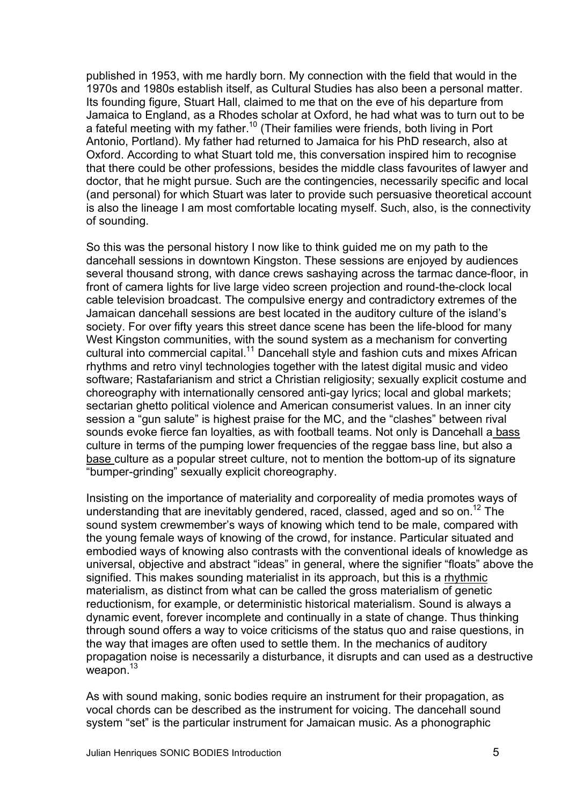published in 1953, with me hardly born. My connection with the field that would in the 1970s and 1980s establish itself, as Cultural Studies has also been a personal matter. Its founding figure, Stuart Hall, claimed to me that on the eve of his departure from Jamaica to England, as a Rhodes scholar at Oxford, he had what was to turn out to be a fateful meeting with my father.<sup>10</sup> (Their families were friends, both living in Port Antonio, Portland). My father had returned to Jamaica for his PhD research, also at Oxford. According to what Stuart told me, this conversation inspired him to recognise that there could be other professions, besides the middle class favourites of lawyer and doctor, that he might pursue. Such are the contingencies, necessarily specific and local (and personal) for which Stuart was later to provide such persuasive theoretical account is also the lineage I am most comfortable locating myself. Such, also, is the connectivity of sounding.

So this was the personal history I now like to think guided me on my path to the dancehall sessions in downtown Kingston. These sessions are enjoyed by audiences several thousand strong, with dance crews sashaying across the tarmac dance-floor, in front of camera lights for live large video screen projection and round-the-clock local cable television broadcast. The compulsive energy and contradictory extremes of the Jamaican dancehall sessions are best located in the auditory culture of the island's society. For over fifty years this street dance scene has been the life-blood for many West Kingston communities, with the sound system as a mechanism for converting cultural into commercial capital.<sup>11</sup> Dancehall style and fashion cuts and mixes African rhythms and retro vinyl technologies together with the latest digital music and video software; Rastafarianism and strict a Christian religiosity; sexually explicit costume and choreography with internationally censored anti-gay lyrics; local and global markets; sectarian ghetto political violence and American consumerist values. In an inner city session a "gun salute" is highest praise for the MC, and the "clashes" between rival sounds evoke fierce fan loyalties, as with football teams. Not only is Dancehall a bass culture in terms of the pumping lower frequencies of the reggae bass line, but also a base culture as a popular street culture, not to mention the bottom-up of its signature "bumper-grinding" sexually explicit choreography.

Insisting on the importance of materiality and corporeality of media promotes ways of understanding that are inevitably gendered, raced, classed, aged and so on. <sup>12</sup> The sound system crewmember's ways of knowing which tend to be male, compared with the young female ways of knowing of the crowd, for instance. Particular situated and embodied ways of knowing also contrasts with the conventional ideals of knowledge as universal, objective and abstract "ideas" in general, where the signifier "floats" above the signified. This makes sounding materialist in its approach, but this is a rhythmic materialism, as distinct from what can be called the gross materialism of genetic reductionism, for example, or deterministic historical materialism. Sound is always a dynamic event, forever incomplete and continually in a state of change. Thus thinking through sound offers a way to voice criticisms of the status quo and raise questions, in the way that images are often used to settle them. In the mechanics of auditory propagation noise is necessarily a disturbance, it disrupts and can used as a destructive .<br>weapon.<sup>13</sup>

As with sound making, sonic bodies require an instrument for their propagation, as vocal chords can be described as the instrument for voicing. The dancehall sound system "set" is the particular instrument for Jamaican music. As a phonographic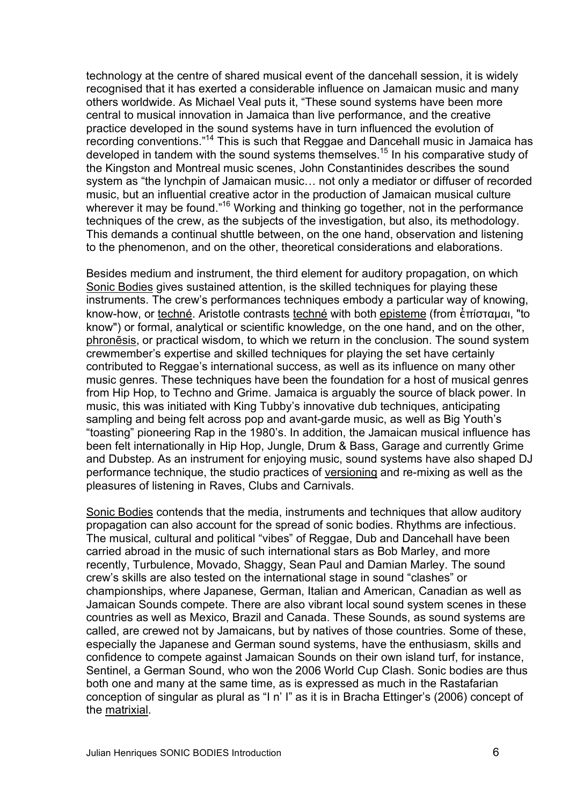technology at the centre of shared musical event of the dancehall session, it is widely recognised that it has exerted a considerable influence on Jamaican music and many others worldwide. As Michael Veal puts it, "These sound systems have been more central to musical innovation in Jamaica than live performance, and the creative practice developed in the sound systems have in turn influenced the evolution of .<br>recording conventions."<sup>14</sup> This is such that Reggae and Dancehall music in Jamaica has developed in tandem with the sound systems themselves.15 In his comparative study of the Kingston and Montreal music scenes, John Constantinides describes the sound system as "the lynchpin of Jamaican music… not only a mediator or diffuser of recorded music, but an influential creative actor in the production of Jamaican musical culture wherever it may be found."<sup>16</sup> Working and thinking go together, not in the performance techniques of the crew, as the subjects of the investigation, but also, its methodology. This demands a continual shuttle between, on the one hand, observation and listening to the phenomenon, and on the other, theoretical considerations and elaborations.

Besides medium and instrument, the third element for auditory propagation, on which Sonic Bodies gives sustained attention, is the skilled techniques for playing these instruments. The crew's performances techniques embody a particular way of knowing, know-how, or techné. Aristotle contrasts techné with both episteme (from ἐπίσταµαι, "to know") or formal, analytical or scientific knowledge, on the one hand, and on the other, phronēsis, or practical wisdom, to which we return in the conclusion. The sound system crewmember's expertise and skilled techniques for playing the set have certainly contributed to Reggae's international success, as well as its influence on many other music genres. These techniques have been the foundation for a host of musical genres from Hip Hop, to Techno and Grime. Jamaica is arguably the source of black power. In music, this was initiated with King Tubby's innovative dub techniques, anticipating sampling and being felt across pop and avant-garde music, as well as Big Youth's "toasting" pioneering Rap in the 1980's. In addition, the Jamaican musical influence has been felt internationally in Hip Hop, Jungle, Drum & Bass, Garage and currently Grime and Dubstep. As an instrument for enjoying music, sound systems have also shaped DJ performance technique, the studio practices of versioning and re-mixing as well as the pleasures of listening in Raves, Clubs and Carnivals.

Sonic Bodies contends that the media, instruments and techniques that allow auditory propagation can also account for the spread of sonic bodies. Rhythms are infectious. The musical, cultural and political "vibes" of Reggae, Dub and Dancehall have been carried abroad in the music of such international stars as Bob Marley, and more recently, Turbulence, Movado, Shaggy, Sean Paul and Damian Marley. The sound crew's skills are also tested on the international stage in sound "clashes" or championships, where Japanese, German, Italian and American, Canadian as well as Jamaican Sounds compete. There are also vibrant local sound system scenes in these countries as well as Mexico, Brazil and Canada. These Sounds, as sound systems are called, are crewed not by Jamaicans, but by natives of those countries. Some of these, especially the Japanese and German sound systems, have the enthusiasm, skills and confidence to compete against Jamaican Sounds on their own island turf, for instance, Sentinel, a German Sound, who won the 2006 World Cup Clash. Sonic bodies are thus both one and many at the same time, as is expressed as much in the Rastafarian conception of singular as plural as "I n' I" as it is in Bracha Ettinger's (2006) concept of the matrixial.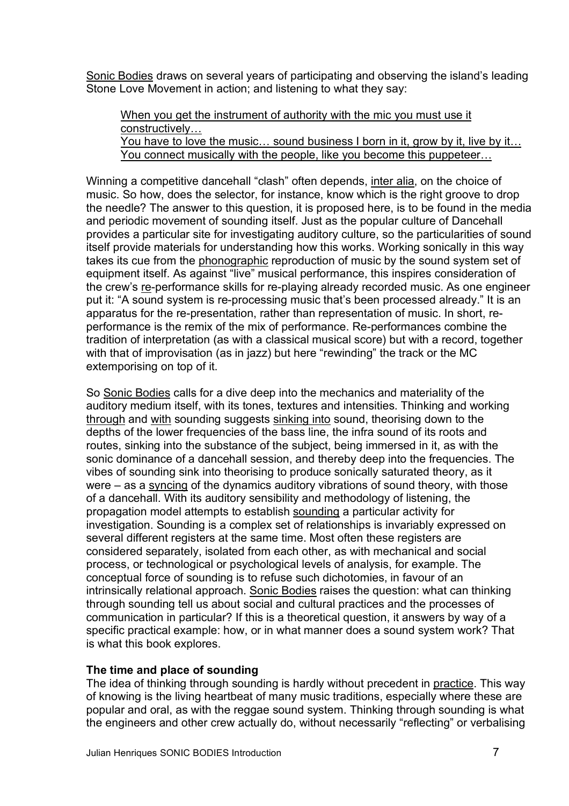Sonic Bodies draws on several years of participating and observing the island's leading Stone Love Movement in action; and listening to what they say:

When you get the instrument of authority with the mic you must use it constructively… You have to love the music… sound business I born in it, grow by it, live by it… You connect musically with the people, like you become this puppeteer…

Winning a competitive dancehall "clash" often depends, inter alia, on the choice of music. So how, does the selector, for instance, know which is the right groove to drop the needle? The answer to this question, it is proposed here, is to be found in the media and periodic movement of sounding itself. Just as the popular culture of Dancehall provides a particular site for investigating auditory culture, so the particularities of sound itself provide materials for understanding how this works. Working sonically in this way takes its cue from the phonographic reproduction of music by the sound system set of equipment itself. As against "live" musical performance, this inspires consideration of the crew's re-performance skills for re-playing already recorded music. As one engineer put it: "A sound system is re-processing music that's been processed already." It is an apparatus for the re-presentation, rather than representation of music. In short, reperformance is the remix of the mix of performance. Re-performances combine the tradition of interpretation (as with a classical musical score) but with a record, together with that of improvisation (as in jazz) but here "rewinding" the track or the MC extemporising on top of it.

So Sonic Bodies calls for a dive deep into the mechanics and materiality of the auditory medium itself, with its tones, textures and intensities. Thinking and working through and with sounding suggests sinking into sound, theorising down to the depths of the lower frequencies of the bass line, the infra sound of its roots and routes, sinking into the substance of the subject, being immersed in it, as with the sonic dominance of a dancehall session, and thereby deep into the frequencies. The vibes of sounding sink into theorising to produce sonically saturated theory, as it were – as a syncing of the dynamics auditory vibrations of sound theory, with those of a dancehall. With its auditory sensibility and methodology of listening, the propagation model attempts to establish sounding a particular activity for investigation. Sounding is a complex set of relationships is invariably expressed on several different registers at the same time. Most often these registers are considered separately, isolated from each other, as with mechanical and social process, or technological or psychological levels of analysis, for example. The conceptual force of sounding is to refuse such dichotomies, in favour of an intrinsically relational approach. Sonic Bodies raises the question: what can thinking through sounding tell us about social and cultural practices and the processes of communication in particular? If this is a theoretical question, it answers by way of a specific practical example: how, or in what manner does a sound system work? That is what this book explores.

### **The time and place of sounding**

The idea of thinking through sounding is hardly without precedent in practice. This way of knowing is the living heartbeat of many music traditions, especially where these are popular and oral, as with the reggae sound system. Thinking through sounding is what the engineers and other crew actually do, without necessarily "reflecting" or verbalising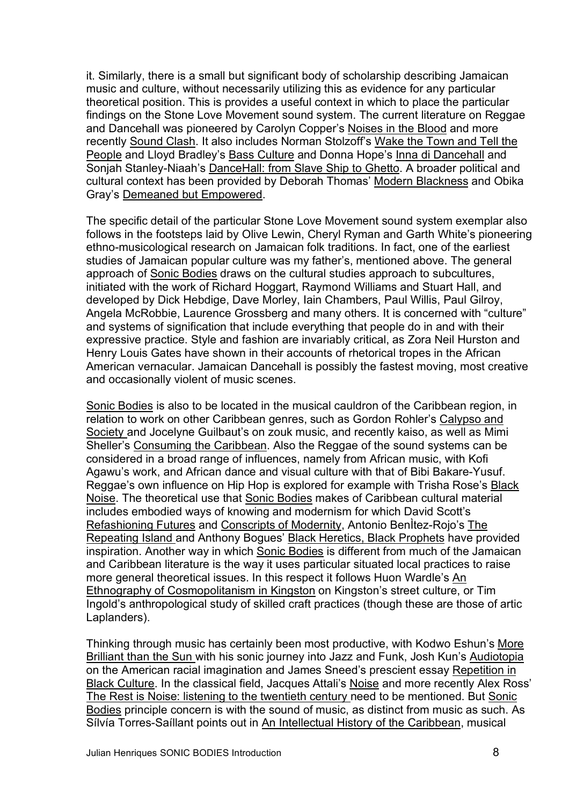it. Similarly, there is a small but significant body of scholarship describing Jamaican music and culture, without necessarily utilizing this as evidence for any particular theoretical position. This is provides a useful context in which to place the particular findings on the Stone Love Movement sound system. The current literature on Reggae and Dancehall was pioneered by Carolyn Copper's Noises in the Blood and more recently Sound Clash. It also includes Norman Stolzoff's Wake the Town and Tell the People and Lloyd Bradley's Bass Culture and Donna Hope's Inna di Dancehall and Sonjah Stanley-Niaah's DanceHall: from Slave Ship to Ghetto. A broader political and cultural context has been provided by Deborah Thomas' Modern Blackness and Obika Gray's Demeaned but Empowered.

The specific detail of the particular Stone Love Movement sound system exemplar also follows in the footsteps laid by Olive Lewin, Cheryl Ryman and Garth White's pioneering ethno-musicological research on Jamaican folk traditions. In fact, one of the earliest studies of Jamaican popular culture was my father's, mentioned above. The general approach of Sonic Bodies draws on the cultural studies approach to subcultures, initiated with the work of Richard Hoggart, Raymond Williams and Stuart Hall, and developed by Dick Hebdige, Dave Morley, Iain Chambers, Paul Willis, Paul Gilroy, Angela McRobbie, Laurence Grossberg and many others. It is concerned with "culture" and systems of signification that include everything that people do in and with their expressive practice. Style and fashion are invariably critical, as Zora Neil Hurston and Henry Louis Gates have shown in their accounts of rhetorical tropes in the African American vernacular. Jamaican Dancehall is possibly the fastest moving, most creative and occasionally violent of music scenes.

Sonic Bodies is also to be located in the musical cauldron of the Caribbean region, in relation to work on other Caribbean genres, such as Gordon Rohler's Calypso and Society and Jocelyne Guilbaut's on zouk music, and recently kaiso, as well as Mimi Sheller's Consuming the Caribbean. Also the Reggae of the sound systems can be considered in a broad range of influences, namely from African music, with Kofi Agawu's work, and African dance and visual culture with that of Bibi Bakare-Yusuf. Reggae's own influence on Hip Hop is explored for example with Trisha Rose's Black Noise. The theoretical use that Sonic Bodies makes of Caribbean cultural material includes embodied ways of knowing and modernism for which David Scott's Refashioning Futures and Conscripts of Modernity, Antonio BenÌtez-Rojo's The Repeating Island and Anthony Bogues' Black Heretics, Black Prophets have provided inspiration. Another way in which Sonic Bodies is different from much of the Jamaican and Caribbean literature is the way it uses particular situated local practices to raise more general theoretical issues. In this respect it follows Huon Wardle's An Ethnography of Cosmopolitanism in Kingston on Kingston's street culture, or Tim Ingold's anthropological study of skilled craft practices (though these are those of artic Laplanders).

Thinking through music has certainly been most productive, with Kodwo Eshun's More Brilliant than the Sun with his sonic journey into Jazz and Funk, Josh Kun's Audiotopia on the American racial imagination and James Sneed's prescient essay Repetition in Black Culture. In the classical field, Jacques Attali's Noise and more recently Alex Ross' The Rest is Noise: listening to the twentieth century need to be mentioned. But Sonic Bodies principle concern is with the sound of music, as distinct from music as such. As Sílvía Torres-Saíllant points out in An Intellectual History of the Caribbean, musical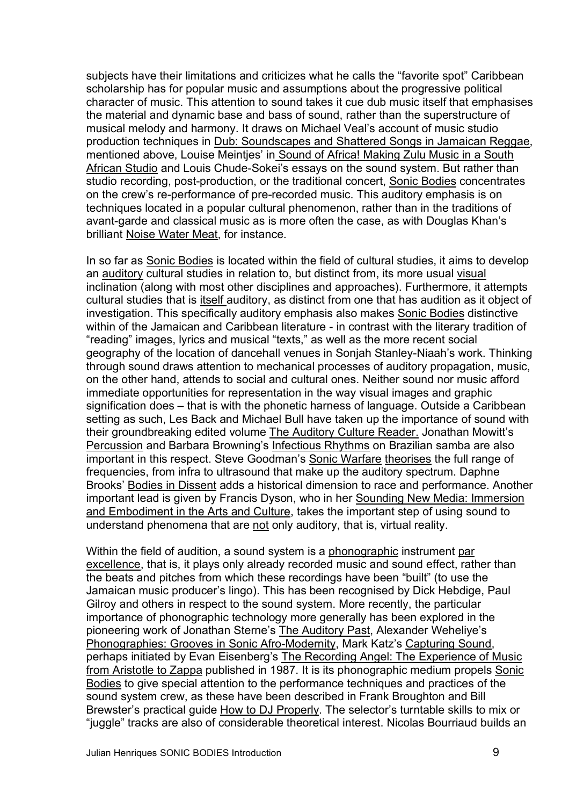subjects have their limitations and criticizes what he calls the "favorite spot" Caribbean scholarship has for popular music and assumptions about the progressive political character of music. This attention to sound takes it cue dub music itself that emphasises the material and dynamic base and bass of sound, rather than the superstructure of musical melody and harmony. It draws on Michael Veal's account of music studio production techniques in Dub: Soundscapes and Shattered Songs in Jamaican Reggae, mentioned above, Louise Meinties' in Sound of Africa! Making Zulu Music in a South African Studio and Louis Chude-Sokei's essays on the sound system. But rather than studio recording, post-production, or the traditional concert, Sonic Bodies concentrates on the crew's re-performance of pre-recorded music. This auditory emphasis is on techniques located in a popular cultural phenomenon, rather than in the traditions of avant-garde and classical music as is more often the case, as with Douglas Khan's brilliant Noise Water Meat, for instance.

In so far as Sonic Bodies is located within the field of cultural studies, it aims to develop an auditory cultural studies in relation to, but distinct from, its more usual visual inclination (along with most other disciplines and approaches). Furthermore, it attempts cultural studies that is itself auditory, as distinct from one that has audition as it object of investigation. This specifically auditory emphasis also makes Sonic Bodies distinctive within of the Jamaican and Caribbean literature - in contrast with the literary tradition of "reading" images, lyrics and musical "texts," as well as the more recent social geography of the location of dancehall venues in Sonjah Stanley-Niaah's work. Thinking through sound draws attention to mechanical processes of auditory propagation, music, on the other hand, attends to social and cultural ones. Neither sound nor music afford immediate opportunities for representation in the way visual images and graphic signification does – that is with the phonetic harness of language. Outside a Caribbean setting as such, Les Back and Michael Bull have taken up the importance of sound with their groundbreaking edited volume The Auditory Culture Reader. Jonathan Mowitt's Percussion and Barbara Browning's Infectious Rhythms on Brazilian samba are also important in this respect. Steve Goodman's Sonic Warfare theorises the full range of frequencies, from infra to ultrasound that make up the auditory spectrum. Daphne Brooks' Bodies in Dissent adds a historical dimension to race and performance. Another important lead is given by Francis Dyson, who in her Sounding New Media: Immersion and Embodiment in the Arts and Culture, takes the important step of using sound to understand phenomena that are not only auditory, that is, virtual reality.

Within the field of audition, a sound system is a phonographic instrument par excellence, that is, it plays only already recorded music and sound effect, rather than the beats and pitches from which these recordings have been "built" (to use the Jamaican music producer's lingo). This has been recognised by Dick Hebdige, Paul Gilroy and others in respect to the sound system. More recently, the particular importance of phonographic technology more generally has been explored in the pioneering work of Jonathan Sterne's The Auditory Past, Alexander Weheliye's Phonographies: Grooves in Sonic Afro-Modernity, Mark Katz's Capturing Sound, perhaps initiated by Evan Eisenberg's The Recording Angel: The Experience of Music from Aristotle to Zappa published in 1987. It is its phonographic medium propels Sonic Bodies to give special attention to the performance techniques and practices of the sound system crew, as these have been described in Frank Broughton and Bill Brewster's practical guide How to DJ Properly. The selector's turntable skills to mix or "juggle" tracks are also of considerable theoretical interest. Nicolas Bourriaud builds an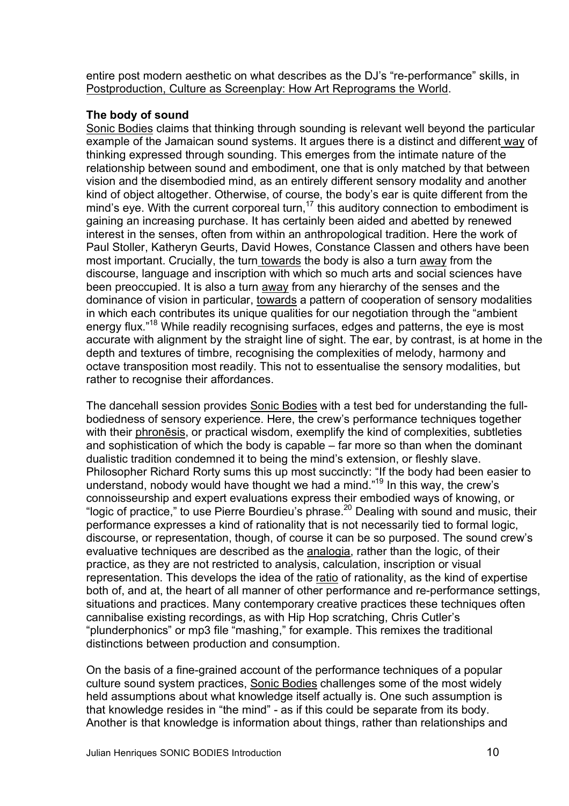entire post modern aesthetic on what describes as the DJ's "re-performance" skills, in Postproduction, Culture as Screenplay: How Art Reprograms the World.

## **The body of sound**

Sonic Bodies claims that thinking through sounding is relevant well beyond the particular example of the Jamaican sound systems. It argues there is a distinct and different way of thinking expressed through sounding. This emerges from the intimate nature of the relationship between sound and embodiment, one that is only matched by that between vision and the disembodied mind, as an entirely different sensory modality and another kind of object altogether. Otherwise, of course, the body's ear is quite different from the mind's eye. With the current corporeal turn,<sup>17</sup> this auditory connection to embodiment is gaining an increasing purchase. It has certainly been aided and abetted by renewed interest in the senses, often from within an anthropological tradition. Here the work of Paul Stoller, Katheryn Geurts, David Howes, Constance Classen and others have been most important. Crucially, the turn towards the body is also a turn away from the discourse, language and inscription with which so much arts and social sciences have been preoccupied. It is also a turn away from any hierarchy of the senses and the dominance of vision in particular, towards a pattern of cooperation of sensory modalities in which each contributes its unique qualities for our negotiation through the "ambient" energy flux."<sup>18</sup> While readily recognising surfaces, edges and patterns, the eye is most accurate with alignment by the straight line of sight. The ear, by contrast, is at home in the depth and textures of timbre, recognising the complexities of melody, harmony and octave transposition most readily. This not to essentualise the sensory modalities, but rather to recognise their affordances.

The dancehall session provides Sonic Bodies with a test bed for understanding the fullbodiedness of sensory experience. Here, the crew's performance techniques together with their phronēsis, or practical wisdom, exemplify the kind of complexities, subtleties and sophistication of which the body is capable – far more so than when the dominant dualistic tradition condemned it to being the mind's extension, or fleshly slave. Philosopher Richard Rorty sums this up most succinctly: "If the body had been easier to understand, nobody would have thought we had a mind."<sup>19</sup> In this way, the crew's connoisseurship and expert evaluations express their embodied ways of knowing, or "logic of practice," to use Pierre Bourdieu's phrase. <sup>20</sup> Dealing with sound and music, their performance expresses a kind of rationality that is not necessarily tied to formal logic, discourse, or representation, though, of course it can be so purposed. The sound crew's evaluative techniques are described as the analogia, rather than the logic, of their practice, as they are not restricted to analysis, calculation, inscription or visual representation. This develops the idea of the ratio of rationality, as the kind of expertise both of, and at, the heart of all manner of other performance and re-performance settings, situations and practices. Many contemporary creative practices these techniques often cannibalise existing recordings, as with Hip Hop scratching, Chris Cutler's "plunderphonics" or mp3 file "mashing," for example. This remixes the traditional distinctions between production and consumption.

On the basis of a fine-grained account of the performance techniques of a popular culture sound system practices, Sonic Bodies challenges some of the most widely held assumptions about what knowledge itself actually is. One such assumption is that knowledge resides in "the mind" - as if this could be separate from its body. Another is that knowledge is information about things, rather than relationships and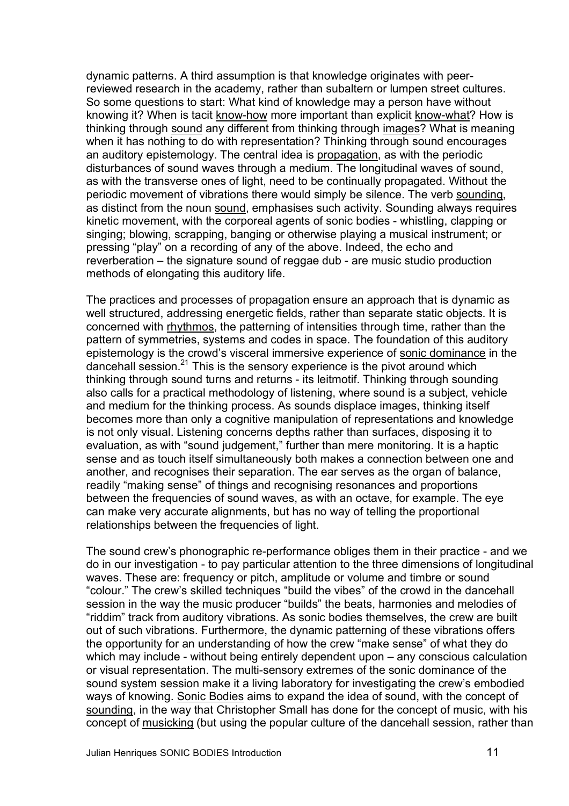dynamic patterns. A third assumption is that knowledge originates with peerreviewed research in the academy, rather than subaltern or lumpen street cultures. So some questions to start: What kind of knowledge may a person have without knowing it? When is tacit know-how more important than explicit know-what? How is thinking through sound any different from thinking through images? What is meaning when it has nothing to do with representation? Thinking through sound encourages an auditory epistemology. The central idea is propagation, as with the periodic disturbances of sound waves through a medium. The longitudinal waves of sound, as with the transverse ones of light, need to be continually propagated. Without the periodic movement of vibrations there would simply be silence. The verb sounding, as distinct from the noun sound, emphasises such activity. Sounding always requires kinetic movement, with the corporeal agents of sonic bodies - whistling, clapping or singing; blowing, scrapping, banging or otherwise playing a musical instrument; or pressing "play" on a recording of any of the above. Indeed, the echo and reverberation – the signature sound of reggae dub - are music studio production methods of elongating this auditory life.

The practices and processes of propagation ensure an approach that is dynamic as well structured, addressing energetic fields, rather than separate static objects. It is concerned with rhythmos, the patterning of intensities through time, rather than the pattern of symmetries, systems and codes in space. The foundation of this auditory epistemology is the crowd's visceral immersive experience of sonic dominance in the dancehall session.<sup>21</sup> This is the sensory experience is the pivot around which thinking through sound turns and returns - its leitmotif. Thinking through sounding also calls for a practical methodology of listening, where sound is a subject, vehicle and medium for the thinking process. As sounds displace images, thinking itself becomes more than only a cognitive manipulation of representations and knowledge is not only visual. Listening concerns depths rather than surfaces, disposing it to evaluation, as with "sound judgement," further than mere monitoring. It is a haptic sense and as touch itself simultaneously both makes a connection between one and another, and recognises their separation. The ear serves as the organ of balance, readily "making sense" of things and recognising resonances and proportions between the frequencies of sound waves, as with an octave, for example. The eye can make very accurate alignments, but has no way of telling the proportional relationships between the frequencies of light.

The sound crew's phonographic re-performance obliges them in their practice - and we do in our investigation - to pay particular attention to the three dimensions of longitudinal waves. These are: frequency or pitch, amplitude or volume and timbre or sound "colour." The crew's skilled techniques "build the vibes" of the crowd in the dancehall session in the way the music producer "builds" the beats, harmonies and melodies of "riddim" track from auditory vibrations. As sonic bodies themselves, the crew are built out of such vibrations. Furthermore, the dynamic patterning of these vibrations offers the opportunity for an understanding of how the crew "make sense" of what they do which may include - without being entirely dependent upon – any conscious calculation or visual representation. The multi-sensory extremes of the sonic dominance of the sound system session make it a living laboratory for investigating the crew's embodied ways of knowing. Sonic Bodies aims to expand the idea of sound, with the concept of sounding, in the way that Christopher Small has done for the concept of music, with his concept of musicking (but using the popular culture of the dancehall session, rather than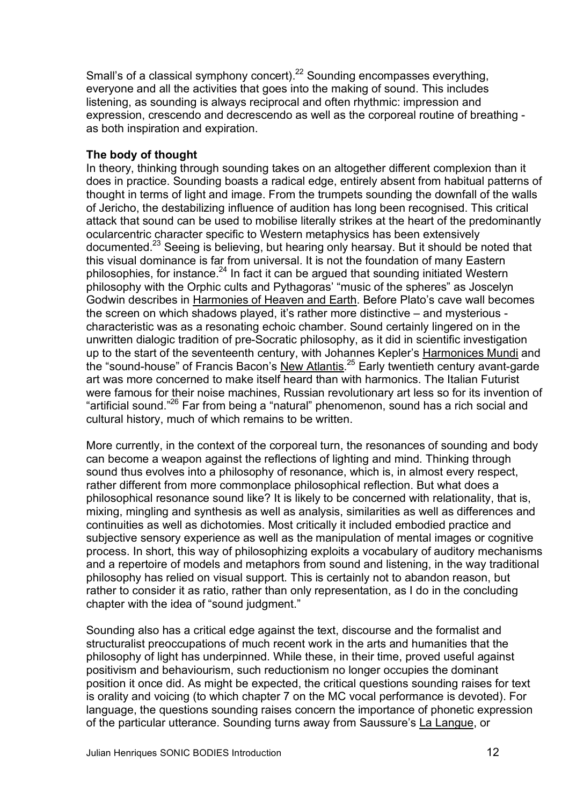Small's of a classical symphony concert).<sup>22</sup> Sounding encompasses everything, everyone and all the activities that goes into the making of sound. This includes listening, as sounding is always reciprocal and often rhythmic: impression and expression, crescendo and decrescendo as well as the corporeal routine of breathing as both inspiration and expiration.

### **The body of thought**

In theory, thinking through sounding takes on an altogether different complexion than it does in practice. Sounding boasts a radical edge, entirely absent from habitual patterns of thought in terms of light and image. From the trumpets sounding the downfall of the walls of Jericho, the destabilizing influence of audition has long been recognised. This critical attack that sound can be used to mobilise literally strikes at the heart of the predominantly ocularcentric character specific to Western metaphysics has been extensively documented.<sup>23</sup> Seeing is believing, but hearing only hearsay. But it should be noted that this visual dominance is far from universal. It is not the foundation of many Eastern philosophies, for instance.<sup>24</sup> In fact it can be argued that sounding initiated Western philosophy with the Orphic cults and Pythagoras' "music of the spheres" as Joscelyn Godwin describes in Harmonies of Heaven and Earth. Before Plato's cave wall becomes the screen on which shadows played, it's rather more distinctive – and mysterious characteristic was as a resonating echoic chamber. Sound certainly lingered on in the unwritten dialogic tradition of pre-Socratic philosophy, as it did in scientific investigation up to the start of the seventeenth century, with Johannes Kepler's Harmonices Mundi and the "sound-house" of Francis Bacon's New Atlantis.<sup>25</sup> Early twentieth century avant-garde art was more concerned to make itself heard than with harmonics. The Italian Futurist were famous for their noise machines, Russian revolutionary art less so for its invention of "artificial sound."<sup>26</sup> Far from being a "natural" phenomenon, sound has a rich social and cultural history, much of which remains to be written.

More currently, in the context of the corporeal turn, the resonances of sounding and body can become a weapon against the reflections of lighting and mind. Thinking through sound thus evolves into a philosophy of resonance, which is, in almost every respect, rather different from more commonplace philosophical reflection. But what does a philosophical resonance sound like? It is likely to be concerned with relationality, that is, mixing, mingling and synthesis as well as analysis, similarities as well as differences and continuities as well as dichotomies. Most critically it included embodied practice and subjective sensory experience as well as the manipulation of mental images or cognitive process. In short, this way of philosophizing exploits a vocabulary of auditory mechanisms and a repertoire of models and metaphors from sound and listening, in the way traditional philosophy has relied on visual support. This is certainly not to abandon reason, but rather to consider it as ratio, rather than only representation, as I do in the concluding chapter with the idea of "sound judgment."

Sounding also has a critical edge against the text, discourse and the formalist and structuralist preoccupations of much recent work in the arts and humanities that the philosophy of light has underpinned. While these, in their time, proved useful against positivism and behaviourism, such reductionism no longer occupies the dominant position it once did. As might be expected, the critical questions sounding raises for text is orality and voicing (to which chapter 7 on the MC vocal performance is devoted). For language, the questions sounding raises concern the importance of phonetic expression of the particular utterance. Sounding turns away from Saussure's La Langue, or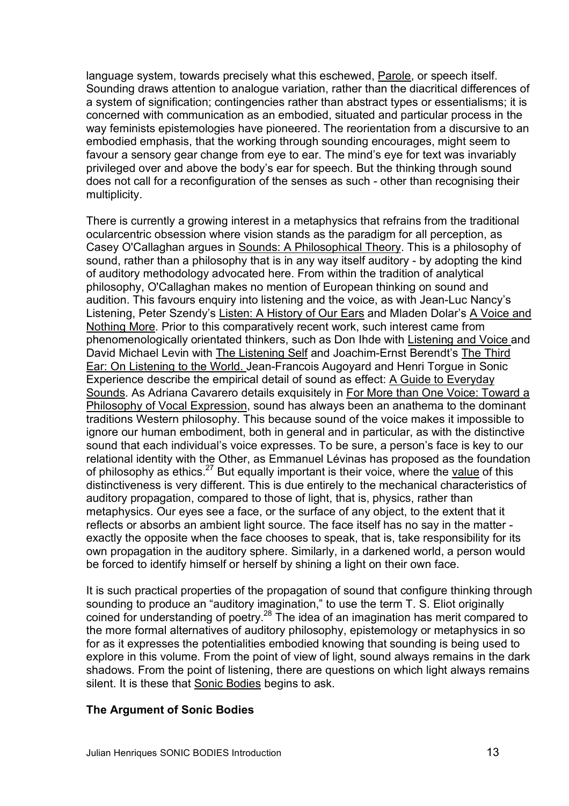language system, towards precisely what this eschewed, Parole, or speech itself. Sounding draws attention to analogue variation, rather than the diacritical differences of a system of signification; contingencies rather than abstract types or essentialisms; it is concerned with communication as an embodied, situated and particular process in the way feminists epistemologies have pioneered. The reorientation from a discursive to an embodied emphasis, that the working through sounding encourages, might seem to favour a sensory gear change from eye to ear. The mind's eye for text was invariably privileged over and above the body's ear for speech. But the thinking through sound does not call for a reconfiguration of the senses as such - other than recognising their multiplicity.

There is currently a growing interest in a metaphysics that refrains from the traditional ocularcentric obsession where vision stands as the paradigm for all perception, as Casey O'Callaghan argues in Sounds: A Philosophical Theory. This is a philosophy of sound, rather than a philosophy that is in any way itself auditory - by adopting the kind of auditory methodology advocated here. From within the tradition of analytical philosophy, O'Callaghan makes no mention of European thinking on sound and audition. This favours enquiry into listening and the voice, as with Jean-Luc Nancy's Listening, Peter Szendy's Listen: A History of Our Ears and Mladen Dolar's A Voice and Nothing More. Prior to this comparatively recent work, such interest came from phenomenologically orientated thinkers, such as Don Ihde with Listening and Voice and David Michael Levin with The Listening Self and Joachim-Ernst Berendt's The Third Ear: On Listening to the World. Jean-Francois Augoyard and Henri Torgue in Sonic Experience describe the empirical detail of sound as effect: A Guide to Everyday Sounds. As Adriana Cavarero details exquisitely in For More than One Voice: Toward a Philosophy of Vocal Expression, sound has always been an anathema to the dominant traditions Western philosophy. This because sound of the voice makes it impossible to ignore our human embodiment, both in general and in particular, as with the distinctive sound that each individual's voice expresses. To be sure, a person's face is key to our relational identity with the Other, as Emmanuel Lévinas has proposed as the foundation of philosophy as ethics.<sup>27</sup> But equally important is their voice, where the value of this distinctiveness is very different. This is due entirely to the mechanical characteristics of auditory propagation, compared to those of light, that is, physics, rather than metaphysics. Our eyes see a face, or the surface of any object, to the extent that it reflects or absorbs an ambient light source. The face itself has no say in the matter exactly the opposite when the face chooses to speak, that is, take responsibility for its own propagation in the auditory sphere. Similarly, in a darkened world, a person would be forced to identify himself or herself by shining a light on their own face.

It is such practical properties of the propagation of sound that configure thinking through sounding to produce an "auditory imagination," to use the term T. S. Eliot originally coined for understanding of poetry.<sup>28</sup> The idea of an imagination has merit compared to the more formal alternatives of auditory philosophy, epistemology or metaphysics in so for as it expresses the potentialities embodied knowing that sounding is being used to explore in this volume. From the point of view of light, sound always remains in the dark shadows. From the point of listening, there are questions on which light always remains silent. It is these that Sonic Bodies begins to ask.

# **The Argument of Sonic Bodies**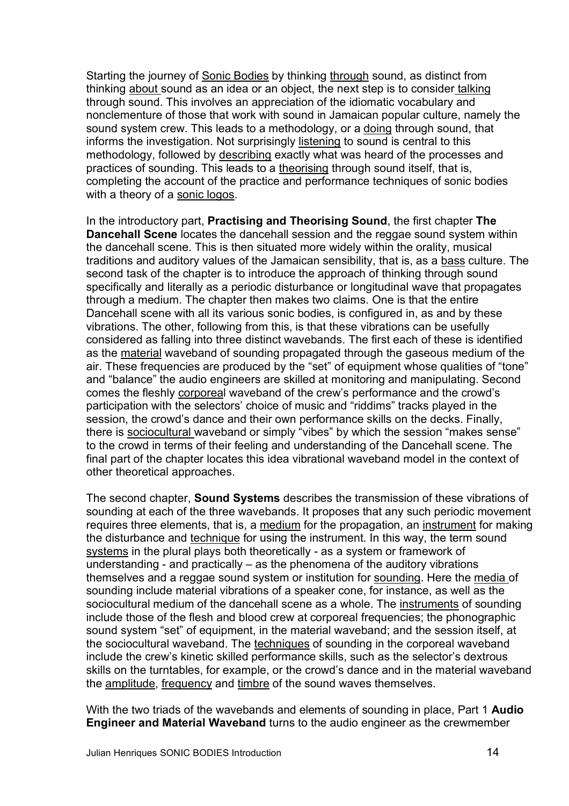Starting the journey of Sonic Bodies by thinking through sound, as distinct from thinking about sound as an idea or an object, the next step is to consider talking through sound. This involves an appreciation of the idiomatic vocabulary and nonclementure of those that work with sound in Jamaican popular culture, namely the sound system crew. This leads to a methodology, or a doing through sound, that informs the investigation. Not surprisingly listening to sound is central to this methodology, followed by describing exactly what was heard of the processes and practices of sounding. This leads to a theorising through sound itself, that is, completing the account of the practice and performance techniques of sonic bodies with a theory of a sonic logos.

In the introductory part, **Practising and Theorising Sound**, the first chapter **The Dancehall Scene** locates the dancehall session and the reggae sound system within the dancehall scene. This is then situated more widely within the orality, musical traditions and auditory values of the Jamaican sensibility, that is, as a bass culture. The second task of the chapter is to introduce the approach of thinking through sound specifically and literally as a periodic disturbance or longitudinal wave that propagates through a medium. The chapter then makes two claims. One is that the entire Dancehall scene with all its various sonic bodies, is configured in, as and by these vibrations. The other, following from this, is that these vibrations can be usefully considered as falling into three distinct wavebands. The first each of these is identified as the material waveband of sounding propagated through the gaseous medium of the air. These frequencies are produced by the "set" of equipment whose qualities of "tone" and "balance" the audio engineers are skilled at monitoring and manipulating. Second comes the fleshly corporeal waveband of the crew's performance and the crowd's participation with the selectors' choice of music and "riddims" tracks played in the session, the crowd's dance and their own performance skills on the decks. Finally, there is sociocultural waveband or simply "vibes" by which the session "makes sense" to the crowd in terms of their feeling and understanding of the Dancehall scene. The final part of the chapter locates this idea vibrational waveband model in the context of other theoretical approaches.

The second chapter, **Sound Systems** describes the transmission of these vibrations of sounding at each of the three wavebands. It proposes that any such periodic movement requires three elements, that is, a medium for the propagation, an instrument for making the disturbance and technique for using the instrument. In this way, the term sound systems in the plural plays both theoretically - as a system or framework of understanding - and practically – as the phenomena of the auditory vibrations themselves and a reggae sound system or institution for sounding. Here the media of sounding include material vibrations of a speaker cone, for instance, as well as the sociocultural medium of the dancehall scene as a whole. The instruments of sounding include those of the flesh and blood crew at corporeal frequencies; the phonographic sound system "set" of equipment, in the material waveband; and the session itself, at the sociocultural waveband. The techniques of sounding in the corporeal waveband include the crew's kinetic skilled performance skills, such as the selector's dextrous skills on the turntables, for example, or the crowd's dance and in the material waveband the amplitude, frequency and timbre of the sound waves themselves.

With the two triads of the wavebands and elements of sounding in place, Part 1 **Audio Engineer and Material Waveband** turns to the audio engineer as the crewmember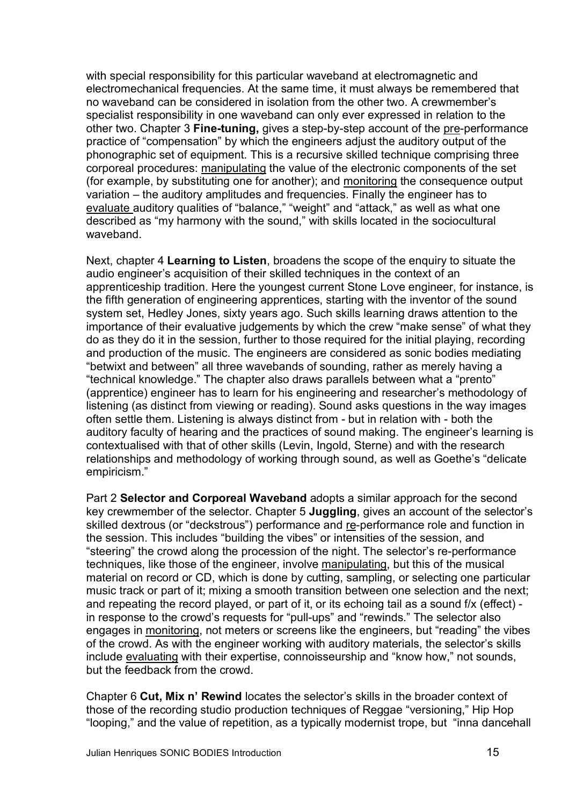with special responsibility for this particular waveband at electromagnetic and electromechanical frequencies. At the same time, it must always be remembered that no waveband can be considered in isolation from the other two. A crewmember's specialist responsibility in one waveband can only ever expressed in relation to the other two. Chapter 3 **Fine-tuning,** gives a step-by-step account of the pre-performance practice of "compensation" by which the engineers adjust the auditory output of the phonographic set of equipment. This is a recursive skilled technique comprising three corporeal procedures: manipulating the value of the electronic components of the set (for example, by substituting one for another); and monitoring the consequence output variation – the auditory amplitudes and frequencies. Finally the engineer has to evaluate auditory qualities of "balance," "weight" and "attack," as well as what one described as "my harmony with the sound," with skills located in the sociocultural waveband.

Next, chapter 4 **Learning to Listen**, broadens the scope of the enquiry to situate the audio engineer's acquisition of their skilled techniques in the context of an apprenticeship tradition. Here the youngest current Stone Love engineer, for instance, is the fifth generation of engineering apprentices, starting with the inventor of the sound system set, Hedley Jones, sixty years ago. Such skills learning draws attention to the importance of their evaluative judgements by which the crew "make sense" of what they do as they do it in the session, further to those required for the initial playing, recording and production of the music. The engineers are considered as sonic bodies mediating "betwixt and between" all three wavebands of sounding, rather as merely having a "technical knowledge." The chapter also draws parallels between what a "prento" (apprentice) engineer has to learn for his engineering and researcher's methodology of listening (as distinct from viewing or reading). Sound asks questions in the way images often settle them. Listening is always distinct from - but in relation with - both the auditory faculty of hearing and the practices of sound making. The engineer's learning is contextualised with that of other skills (Levin, Ingold, Sterne) and with the research relationships and methodology of working through sound, as well as Goethe's "delicate empiricism."

Part 2 **Selector and Corporeal Waveband** adopts a similar approach for the second key crewmember of the selector. Chapter 5 **Juggling**, gives an account of the selector's skilled dextrous (or "deckstrous") performance and re-performance role and function in the session. This includes "building the vibes" or intensities of the session, and "steering" the crowd along the procession of the night. The selector's re-performance techniques, like those of the engineer, involve manipulating, but this of the musical material on record or CD, which is done by cutting, sampling, or selecting one particular music track or part of it; mixing a smooth transition between one selection and the next; and repeating the record played, or part of it, or its echoing tail as a sound f/x (effect) in response to the crowd's requests for "pull-ups" and "rewinds." The selector also engages in monitoring, not meters or screens like the engineers, but "reading" the vibes of the crowd. As with the engineer working with auditory materials, the selector's skills include evaluating with their expertise, connoisseurship and "know how," not sounds, but the feedback from the crowd.

Chapter 6 **Cut, Mix n' Rewind** locates the selector's skills in the broader context of those of the recording studio production techniques of Reggae "versioning," Hip Hop "looping," and the value of repetition, as a typically modernist trope, but "inna dancehall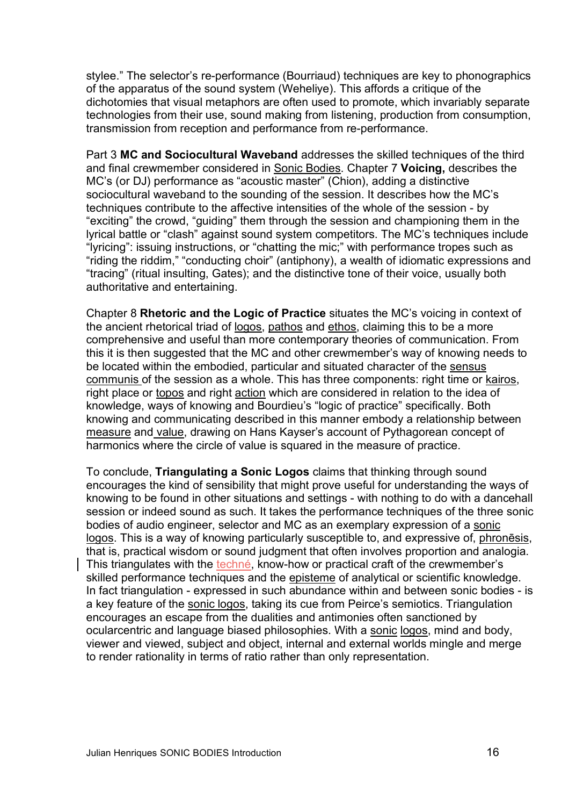stylee." The selector's re-performance (Bourriaud) techniques are key to phonographics of the apparatus of the sound system (Weheliye). This affords a critique of the dichotomies that visual metaphors are often used to promote, which invariably separate technologies from their use, sound making from listening, production from consumption, transmission from reception and performance from re-performance.

Part 3 **MC and Sociocultural Waveband** addresses the skilled techniques of the third and final crewmember considered in Sonic Bodies. Chapter 7 **Voicing,** describes the MC's (or DJ) performance as "acoustic master" (Chion), adding a distinctive sociocultural waveband to the sounding of the session. It describes how the MC's techniques contribute to the affective intensities of the whole of the session - by "exciting" the crowd, "guiding" them through the session and championing them in the lyrical battle or "clash" against sound system competitors. The MC's techniques include "lyricing": issuing instructions, or "chatting the mic;" with performance tropes such as "riding the riddim," "conducting choir" (antiphony), a wealth of idiomatic expressions and "tracing" (ritual insulting, Gates); and the distinctive tone of their voice, usually both authoritative and entertaining.

Chapter 8 **Rhetoric and the Logic of Practice** situates the MC's voicing in context of the ancient rhetorical triad of logos, pathos and ethos, claiming this to be a more comprehensive and useful than more contemporary theories of communication. From this it is then suggested that the MC and other crewmember's way of knowing needs to be located within the embodied, particular and situated character of the sensus communis of the session as a whole. This has three components: right time or kairos, right place or topos and right action which are considered in relation to the idea of knowledge, ways of knowing and Bourdieu's "logic of practice" specifically. Both knowing and communicating described in this manner embody a relationship between measure and value, drawing on Hans Kayser's account of Pythagorean concept of harmonics where the circle of value is squared in the measure of practice.

To conclude, **Triangulating a Sonic Logos** claims that thinking through sound encourages the kind of sensibility that might prove useful for understanding the ways of knowing to be found in other situations and settings - with nothing to do with a dancehall session or indeed sound as such. It takes the performance techniques of the three sonic bodies of audio engineer, selector and MC as an exemplary expression of a sonic logos. This is a way of knowing particularly susceptible to, and expressive of, phronēsis, that is, practical wisdom or sound judgment that often involves proportion and analogia. This triangulates with the techné, know-how or practical craft of the crewmember's skilled performance techniques and the episteme of analytical or scientific knowledge. In fact triangulation - expressed in such abundance within and between sonic bodies - is a key feature of the sonic logos, taking its cue from Peirce's semiotics. Triangulation encourages an escape from the dualities and antimonies often sanctioned by ocularcentric and language biased philosophies. With a sonic logos, mind and body, viewer and viewed, subject and object, internal and external worlds mingle and merge to render rationality in terms of ratio rather than only representation.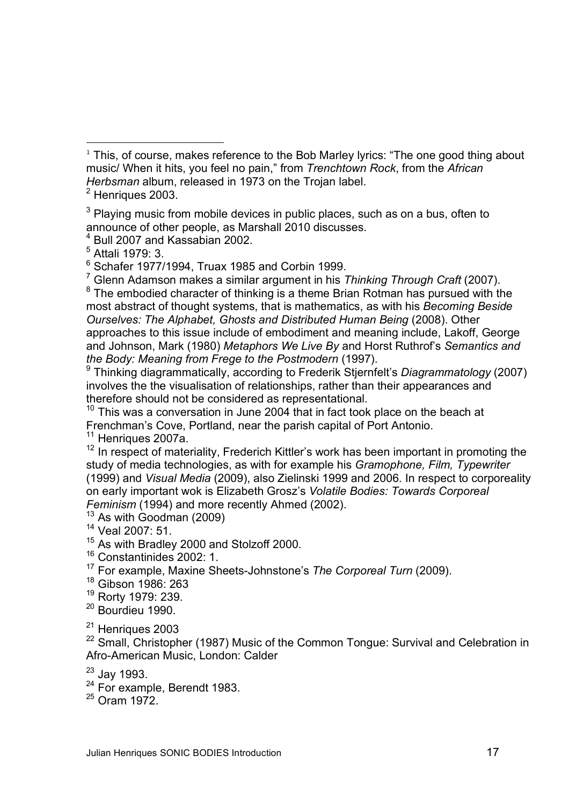l

<sup>4</sup> Bull 2007 and Kassabian 2002.<br>
<sup>5</sup> Attali 1979: 3.<br>
<sup>6</sup> Schafer 1977/1994, Truax 1985 and Corbin 1999.<br>
<sup>7</sup> Glenn Adamson makes a similar argument in his *Thinking Through Craft* (2007).<br>
<sup>8</sup> The embodied character of

most abstract of thought systems, that is mathematics, as with his *Becoming Beside Ourselves: The Alphabet, Ghosts and Distributed Human Being* (2008). Other approaches to this issue include of embodiment and meaning include, Lakoff, George and Johnson, Mark (1980) *Metaphors We Live By* and Horst Ruthrof's *Semantics and the Body: Meaning from Frege to the Postmodern* (1997).<br><sup>9</sup> Thinking diagrammatically, according to Frederik Stiernfelt's *Diagrammatology* (2007).

involves the the visualisation of relationships, rather than their appearances and therefore should not be considered as representational.<br><sup>10</sup> This was a conversation in June 2004 that in fact took place on the beach at

Frenchman's Cove, Portland, near the parish capital of Port Antonio.<br><sup>11</sup> Henriques 2007a.<br><sup>12</sup> In respect of materiality, Frederich Kittler's work has been important in promoting the

study of media technologies, as with for example his *Gramophone, Film, Typewriter* (1999) and *Visual Media* (2009), also Zielinski 1999 and 2006. In respect to corporeality on early important wok is Elizabeth Grosz's *Volatile Bodies: Towards Corporeal Feminism* (1994) and more recently Ahmed (2002).<br><sup>13</sup> As with Goodman (2009)<br><sup>14</sup> Veal 2007: 51.

<sup>15</sup> As with Bradley 2000 and Stolzoff 2000.<br><sup>16</sup> Constantinides 2002: 1.<br><sup>17</sup> For example, Maxine Sheets-Johnstone's *The Corporeal Turn* (2009).<br><sup>18</sup> Gibson 1986: 263

 $19$  Rorty 1979: 239.<br> $20$  Bourdieu 1990.

<sup>21</sup> Henriques 2003

<sup>22</sup> Small, Christopher (1987) Music of the Common Tongue: Survival and Celebration in Afro-American Music, London: Calder

<sup>23</sup> Jay 1993.<br><sup>24</sup> For example, Berendt 1983.<br><sup>25</sup> Oram 1972

 $1$  This, of course, makes reference to the Bob Marley lyrics: "The one good thing about music/ When it hits, you feel no pain," from *Trenchtown Rock*, from the *African Herbsman* album, released in 1973 on the Trojan label.<br><sup>2</sup> Henriques 2003.

 $3$  Playing music from mobile devices in public places, such as on a bus, often to announce of other people, as Marshall 2010 discusses.